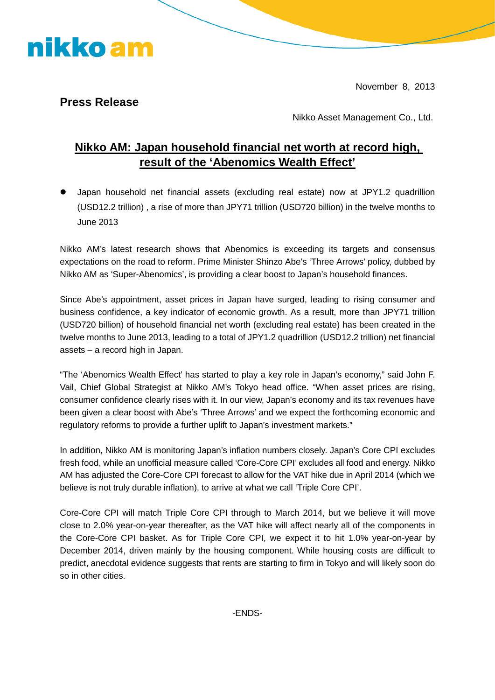November 8, 2013

## **Press Release**

nikko am

Nikko Asset Management Co., Ltd.

## **Nikko AM: Japan household financial net worth at record high, result of the 'Abenomics Wealth Effect'**

 Japan household net financial assets (excluding real estate) now at JPY1.2 quadrillion (USD12.2 trillion) , a rise of more than JPY71 trillion (USD720 billion) in the twelve months to June 2013

Nikko AM's latest research shows that Abenomics is exceeding its targets and consensus expectations on the road to reform. Prime Minister Shinzo Abe's 'Three Arrows' policy, dubbed by Nikko AM as 'Super-Abenomics', is providing a clear boost to Japan's household finances.

Since Abe's appointment, asset prices in Japan have surged, leading to rising consumer and business confidence, a key indicator of economic growth. As a result, more than JPY71 trillion (USD720 billion) of household financial net worth (excluding real estate) has been created in the twelve months to June 2013, leading to a total of JPY1.2 quadrillion (USD12.2 trillion) net financial assets – a record high in Japan.

"The 'Abenomics Wealth Effect' has started to play a key role in Japan's economy," said John F. Vail, Chief Global Strategist at Nikko AM's Tokyo head office. "When asset prices are rising, consumer confidence clearly rises with it. In our view, Japan's economy and its tax revenues have been given a clear boost with Abe's 'Three Arrows' and we expect the forthcoming economic and regulatory reforms to provide a further uplift to Japan's investment markets."

In addition, Nikko AM is monitoring Japan's inflation numbers closely. Japan's Core CPI excludes fresh food, while an unofficial measure called 'Core-Core CPI' excludes all food and energy. Nikko AM has adjusted the Core-Core CPI forecast to allow for the VAT hike due in April 2014 (which we believe is not truly durable inflation), to arrive at what we call 'Triple Core CPI'.

Core-Core CPI will match Triple Core CPI through to March 2014, but we believe it will move close to 2.0% year-on-year thereafter, as the VAT hike will affect nearly all of the components in the Core-Core CPI basket. As for Triple Core CPI, we expect it to hit 1.0% year-on-year by December 2014, driven mainly by the housing component. While housing costs are difficult to predict, anecdotal evidence suggests that rents are starting to firm in Tokyo and will likely soon do so in other cities.

-ENDS-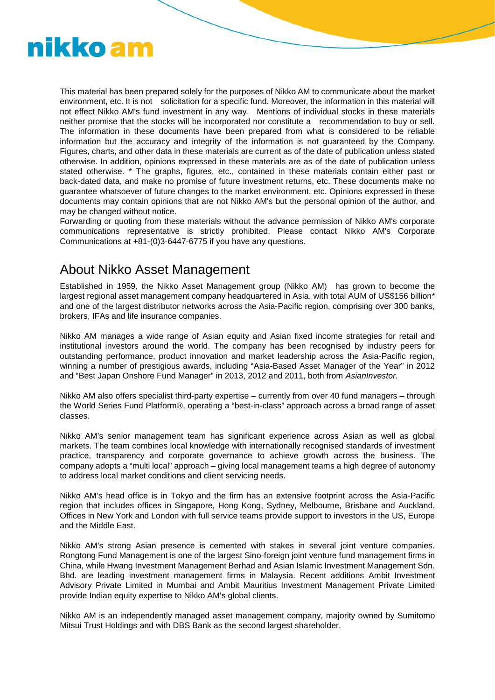

This material has been prepared solely for the purposes of Nikko AM to communicate about the market environment, etc. It is not solicitation for a specific fund. Moreover, the information in this material will not effect Nikko AM's fund investment in any way. Mentions of individual stocks in these materials neither promise that the stocks will be incorporated nor constitute a recommendation to buy or sell. The information in these documents have been prepared from what is considered to be reliable information but the accuracy and integrity of the information is not guaranteed by the Company. Figures, charts, and other data in these materials are current as of the date of publication unless stated otherwise. In addition, opinions expressed in these materials are as of the date of publication unless stated otherwise. \* The graphs, figures, etc., contained in these materials contain either past or back-dated data, and make no promise of future investment returns, etc. These documents make no guarantee whatsoever of future changes to the market environment, etc. Opinions expressed in these documents may contain opinions that are not Nikko AM's but the personal opinion of the author, and may be changed without notice.

Forwarding or quoting from these materials without the advance permission of Nikko AM's corporate communications representative is strictly prohibited. Please contact Nikko AM's Corporate Communications at +81-(0)3-6447-6775 if you have any questions.

## About Nikko Asset Management

Established in 1959, the Nikko Asset Management group (Nikko AM) has grown to become the largest regional asset management company headquartered in Asia, with total AUM of US\$156 billion\* and one of the largest distributor networks across the Asia-Pacific region, comprising over 300 banks, brokers, IFAs and life insurance companies.

Nikko AM manages a wide range of Asian equity and Asian fixed income strategies for retail and institutional investors around the world. The company has been recognised by industry peers for outstanding performance, product innovation and market leadership across the Asia-Pacific region, winning a number of prestigious awards, including "Asia-Based Asset Manager of the Year" in 2012 and "Best Japan Onshore Fund Manager" in 2013, 2012 and 2011, both from *AsianInvestor.*

Nikko AM also offers specialist third-party expertise – currently from over 40 fund managers – through the World Series Fund Platform®, operating a "best-in-class" approach across a broad range of asset classes.

Nikko AM's senior management team has significant experience across Asian as well as global markets. The team combines local knowledge with internationally recognised standards of investment practice, transparency and corporate governance to achieve growth across the business. The company adopts a "multi local" approach – giving local management teams a high degree of autonomy to address local market conditions and client servicing needs.

Nikko AM's head office is in Tokyo and the firm has an extensive footprint across the Asia-Pacific region that includes offices in Singapore, Hong Kong, Sydney, Melbourne, Brisbane and Auckland. Offices in New York and London with full service teams provide support to investors in the US, Europe and the Middle East.

Nikko AM's strong Asian presence is cemented with stakes in several joint venture companies. Rongtong Fund Management is one of the largest Sino-foreign joint venture fund management firms in China, while Hwang Investment Management Berhad and Asian Islamic Investment Management Sdn. Bhd. are leading investment management firms in Malaysia. Recent additions Ambit Investment Advisory Private Limited in Mumbai and Ambit Mauritius Investment Management Private Limited provide Indian equity expertise to Nikko AM's global clients.

Nikko AM is an independently managed asset management company, majority owned by Sumitomo Mitsui Trust Holdings and with DBS Bank as the second largest shareholder.